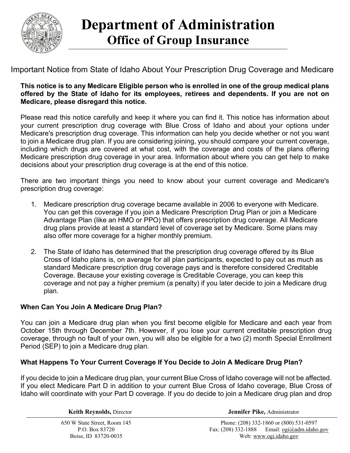

# **Department of Administration Office of Group Insurance**

Important Notice from State of Idaho About Your Prescription Drug Coverage and Medicare

#### **This notice is to any Medicare Eligible person who is enrolled in one of the group medical plans offered by the State of Idaho for its employees, retirees and dependents. If you are not on Medicare, please disregard this notice.**

Please read this notice carefully and keep it where you can find it. This notice has information about your current prescription drug coverage with Blue Cross of Idaho and about your options under Medicare's prescription drug coverage. This information can help you decide whether or not you want to join a Medicare drug plan. If you are considering joining, you should compare your current coverage, including which drugs are covered at what cost, with the coverage and costs of the plans offering Medicare prescription drug coverage in your area. Information about where you can get help to make decisions about your prescription drug coverage is at the end of this notice.

There are two important things you need to know about your current coverage and Medicare's prescription drug coverage:

- 1. Medicare prescription drug coverage became available in 2006 to everyone with Medicare. You can get this coverage if you join a Medicare Prescription Drug Plan or join a Medicare Advantage Plan (like an HMO or PPO) that offers prescription drug coverage. All Medicare drug plans provide at least a standard level of coverage set by Medicare. Some plans may also offer more coverage for a higher monthly premium.
- 2. The State of Idaho has determined that the prescription drug coverage offered by its Blue Cross of Idaho plans is, on average for all plan participants, expected to pay out as much as standard Medicare prescription drug coverage pays and is therefore considered Creditable Coverage. Because your existing coverage is Creditable Coverage, you can keep this coverage and not pay a higher premium (a penalty) if you later decide to join a Medicare drug plan.

## **When Can You Join A Medicare Drug Plan?**

You can join a Medicare drug plan when you first become eligible for Medicare and each year from October 15th through December 7th. However, if you lose your current creditable prescription drug coverage, through no fault of your own, you will also be eligible for a two (2) month Special Enrollment Period (SEP) to join a Medicare drug plan.

### **What Happens To Your Current Coverage If You Decide to Join A Medicare Drug Plan?**

If you decide to join a Medicare drug plan, your current Blue Cross of Idaho coverage will not be affected. If you elect Medicare Part D in addition to your current Blue Cross of Idaho coverage, Blue Cross of Idaho will coordinate with your Part D coverage. If you do decide to join a Medicare drug plan and drop

650 W State Street, Room 145 P.O. Box 83720 Boise, ID 83720-0035

**Keith Reynolds,** Director **Jennifer Pike,** Administrator